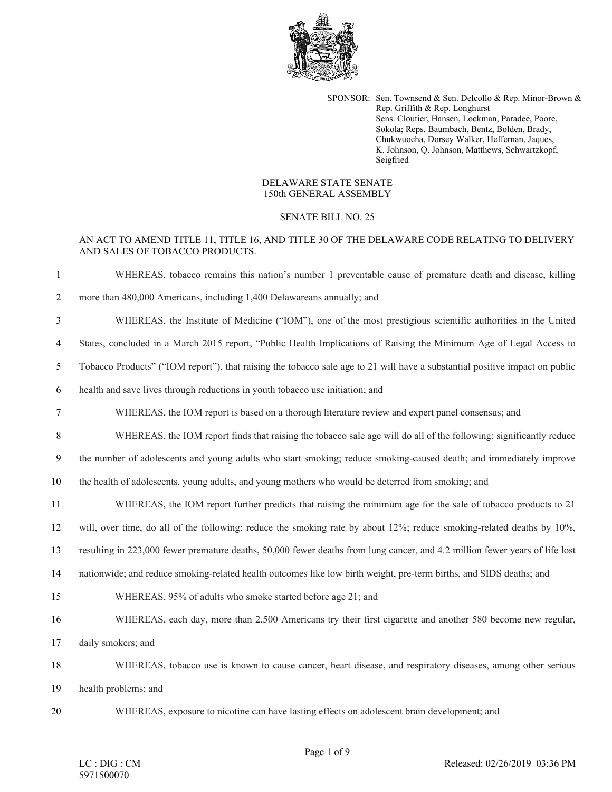

SPONSOR: Sen. Townsend & Sen. Delcollo & Rep. Minor-Brown & Rep. Griffith & Rep. Longhurst Sens. Cloutier, Hansen, Lockman, Paradee, Poore, Sokola; Reps. Baumbach, Bentz, Bolden, Brady, Chukwuocha, Dorsey Walker, Heffernan, Jaques, K. Johnson, Q. Johnson, Matthews, Schwartzkopf, Seigfried

## DELAWARE STATE SENATE 150th GENERAL ASSEMBLY

## SENATE BILL NO. 25

## AN ACT TO AMEND TITLE 11, TITLE 16, AND TITLE 30 OF THE DELAWARE CODE RELATING TO DELIVERY AND SALES OF TOBACCO PRODUCTS.

 WHEREAS, tobacco remains this nation's number 1 preventable cause of premature death and disease, killing more than 480,000 Americans, including 1,400 Delawareans annually; and WHEREAS, the Institute of Medicine ("IOM"), one of the most prestigious scientific authorities in the United States, concluded in a March 2015 report, "Public Health Implications of Raising the Minimum Age of Legal Access to Tobacco Products" ("IOM report"), that raising the tobacco sale age to 21 will have a substantial positive impact on public health and save lives through reductions in youth tobacco use initiation; and WHEREAS, the IOM report is based on a thorough literature review and expert panel consensus; and WHEREAS, the IOM report finds that raising the tobacco sale age will do all of the following: significantly reduce the number of adolescents and young adults who start smoking; reduce smoking-caused death; and immediately improve the health of adolescents, young adults, and young mothers who would be deterred from smoking; and WHEREAS, the IOM report further predicts that raising the minimum age for the sale of tobacco products to 21 will, over time, do all of the following: reduce the smoking rate by about 12%; reduce smoking-related deaths by 10%, resulting in 223,000 fewer premature deaths, 50,000 fewer deaths from lung cancer, and 4.2 million fewer years of life lost nationwide; and reduce smoking-related health outcomes like low birth weight, pre-term births, and SIDS deaths; and WHEREAS, 95% of adults who smoke started before age 21; and WHEREAS, each day, more than 2,500 Americans try their first cigarette and another 580 become new regular, daily smokers; and WHEREAS, tobacco use is known to cause cancer, heart disease, and respiratory diseases, among other serious health problems; and WHEREAS, exposure to nicotine can have lasting effects on adolescent brain development; and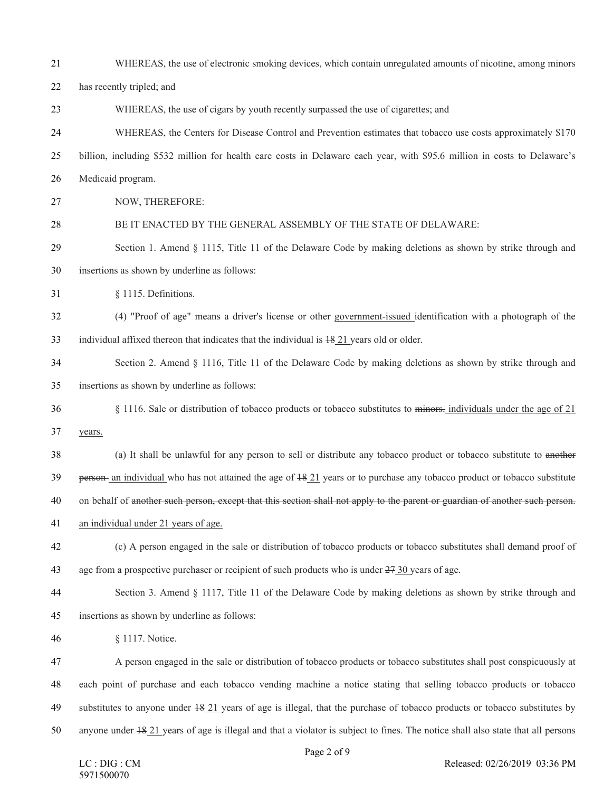| 21 | WHEREAS, the use of electronic smoking devices, which contain unregulated amounts of nicotine, among minors                          |
|----|--------------------------------------------------------------------------------------------------------------------------------------|
| 22 | has recently tripled; and                                                                                                            |
| 23 | WHEREAS, the use of cigars by youth recently surpassed the use of cigarettes; and                                                    |
| 24 | WHEREAS, the Centers for Disease Control and Prevention estimates that tobacco use costs approximately \$170                         |
| 25 | billion, including \$532 million for health care costs in Delaware each year, with \$95.6 million in costs to Delaware's             |
| 26 | Medicaid program.                                                                                                                    |
| 27 | NOW, THEREFORE:                                                                                                                      |
| 28 | BE IT ENACTED BY THE GENERAL ASSEMBLY OF THE STATE OF DELAWARE:                                                                      |
| 29 | Section 1. Amend § 1115, Title 11 of the Delaware Code by making deletions as shown by strike through and                            |
| 30 | insertions as shown by underline as follows:                                                                                         |
| 31 | § 1115. Definitions.                                                                                                                 |
| 32 | (4) "Proof of age" means a driver's license or other government-issued identification with a photograph of the                       |
| 33 | individual affixed thereon that indicates that the individual is $18.21$ years old or older.                                         |
| 34 | Section 2. Amend § 1116, Title 11 of the Delaware Code by making deletions as shown by strike through and                            |
| 35 | insertions as shown by underline as follows:                                                                                         |
| 36 | § 1116. Sale or distribution of tobacco products or tobacco substitutes to minors- individuals under the age of 21                   |
| 37 | years.                                                                                                                               |
| 38 | (a) It shall be unlawful for any person to sell or distribute any tobacco product or tobacco substitute to another                   |
| 39 | $person$ an individual who has not attained the age of $18.21$ years or to purchase any tobacco product or tobacco substitute        |
| 40 | on behalf of another such person, except that this section shall not apply to the parent or guardian of another such person.         |
| 41 | an individual under 21 years of age.                                                                                                 |
| 42 | (c) A person engaged in the sale or distribution of tobacco products or tobacco substitutes shall demand proof of                    |
| 43 | age from a prospective purchaser or recipient of such products who is under $27 \overline{30}$ years of age.                         |
| 44 | Section 3. Amend § 1117, Title 11 of the Delaware Code by making deletions as shown by strike through and                            |
| 45 | insertions as shown by underline as follows:                                                                                         |
| 46 | § 1117. Notice.                                                                                                                      |
| 47 | A person engaged in the sale or distribution of tobacco products or tobacco substitutes shall post conspicuously at                  |
| 48 | each point of purchase and each tobacco vending machine a notice stating that selling tobacco products or tobacco                    |
| 49 | substitutes to anyone under $\frac{18}{21}$ years of age is illegal, that the purchase of tobacco products or tobacco substitutes by |
| 50 | anyone under $18.21$ years of age is illegal and that a violator is subject to fines. The notice shall also state that all persons   |
|    |                                                                                                                                      |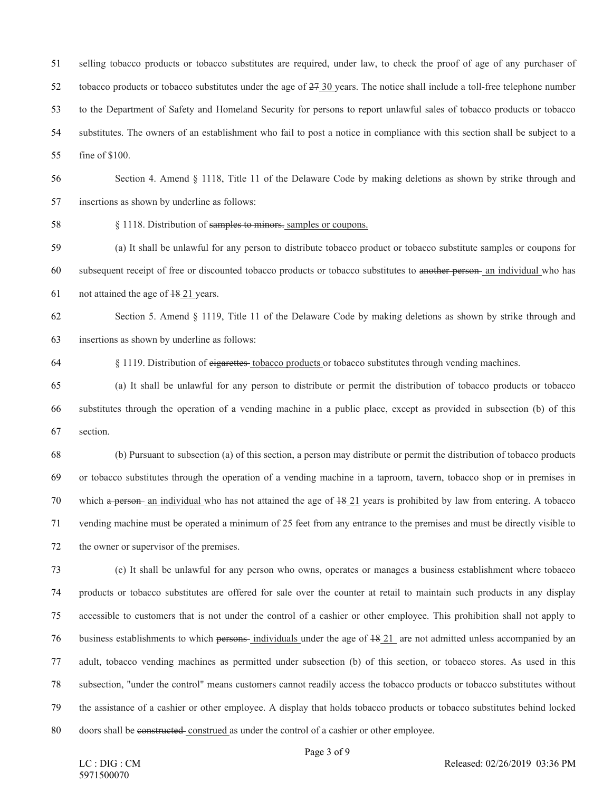selling tobacco products or tobacco substitutes are required, under law, to check the proof of age of any purchaser of tobacco products or tobacco substitutes under the age of 27 30 years. The notice shall include a toll-free telephone number to the Department of Safety and Homeland Security for persons to report unlawful sales of tobacco products or tobacco substitutes. The owners of an establishment who fail to post a notice in compliance with this section shall be subject to a fine of \$100.

 Section 4. Amend § 1118, Title 11 of the Delaware Code by making deletions as shown by strike through and insertions as shown by underline as follows:

§ 1118. Distribution of samples to minors. samples or coupons.

 (a) It shall be unlawful for any person to distribute tobacco product or tobacco substitute samples or coupons for subsequent receipt of free or discounted tobacco products or tobacco substitutes to another person an individual who has not attained the age of 18 21 years.

 Section 5. Amend § 1119, Title 11 of the Delaware Code by making deletions as shown by strike through and insertions as shown by underline as follows:

64 § 1119. Distribution of eigarettes tobacco products or tobacco substitutes through vending machines.

 (a) It shall be unlawful for any person to distribute or permit the distribution of tobacco products or tobacco substitutes through the operation of a vending machine in a public place, except as provided in subsection (b) of this section.

 (b) Pursuant to subsection (a) of this section, a person may distribute or permit the distribution of tobacco products or tobacco substitutes through the operation of a vending machine in a taproom, tavern, tobacco shop or in premises in 70 which a person- an individual who has not attained the age of  $\frac{18.21}{2}$  years is prohibited by law from entering. A tobacco vending machine must be operated a minimum of 25 feet from any entrance to the premises and must be directly visible to the owner or supervisor of the premises.

 (c) It shall be unlawful for any person who owns, operates or manages a business establishment where tobacco products or tobacco substitutes are offered for sale over the counter at retail to maintain such products in any display accessible to customers that is not under the control of a cashier or other employee. This prohibition shall not apply to 76 business establishments to which persons-individuals under the age of  $\frac{1821}{10}$  are not admitted unless accompanied by an adult, tobacco vending machines as permitted under subsection (b) of this section, or tobacco stores. As used in this subsection, "under the control" means customers cannot readily access the tobacco products or tobacco substitutes without the assistance of a cashier or other employee. A display that holds tobacco products or tobacco substitutes behind locked doors shall be constructed construed as under the control of a cashier or other employee.

Page 3 of 9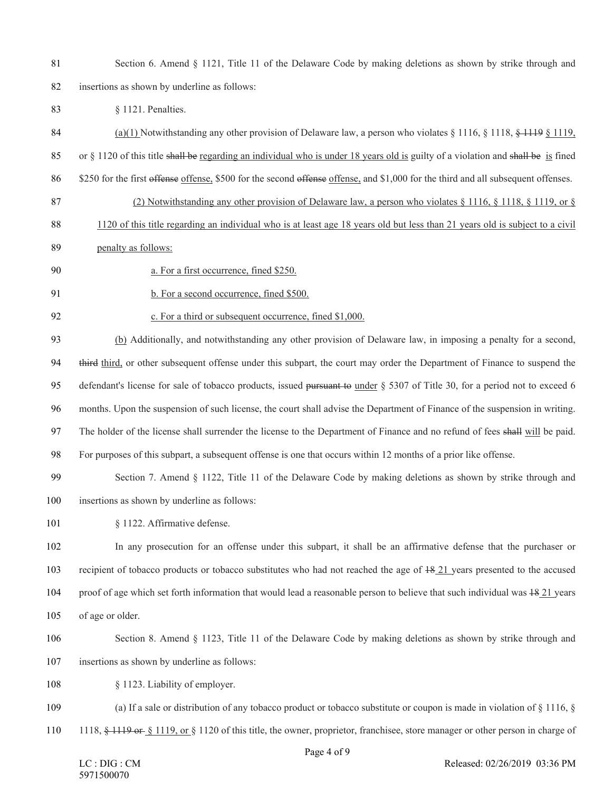- 81 Section 6. Amend § 1121, Title 11 of the Delaware Code by making deletions as shown by strike through and insertions as shown by underline as follows:
- § 1121. Penalties.
- (a)(1) Notwithstanding any other provision of Delaware law, a person who violates § 1116, § 1118, § 1119 § 1119,
- 85 or  $\S$  1120 of this title shall be regarding an individual who is under 18 years old is guilty of a violation and shall be is fined
- \$250 for the first offense offense, \$500 for the second offense offense, and \$1,000 for the third and all subsequent offenses.
- 87 (2) Notwithstanding any other provision of Delaware law, a person who violates § 1116, § 1118, § 1119, or §
- 1120 of this title regarding an individual who is at least age 18 years old but less than 21 years old is subject to a civil
- penalty as follows:
- a. For a first occurrence, fined \$250.
- 

91 b. For a second occurrence, fined \$500.

c. For a third or subsequent occurrence, fined \$1,000.

 (b) Additionally, and notwithstanding any other provision of Delaware law, in imposing a penalty for a second, 94 third third, or other subsequent offense under this subpart, the court may order the Department of Finance to suspend the 95 defendant's license for sale of tobacco products, issued pursuant to under § 5307 of Title 30, for a period not to exceed 6 months. Upon the suspension of such license, the court shall advise the Department of Finance of the suspension in writing. The holder of the license shall surrender the license to the Department of Finance and no refund of fees shall will be paid. For purposes of this subpart, a subsequent offense is one that occurs within 12 months of a prior like offense.

- Section 7. Amend § 1122, Title 11 of the Delaware Code by making deletions as shown by strike through and insertions as shown by underline as follows:
- 101 § 1122. Affirmative defense.
- In any prosecution for an offense under this subpart, it shall be an affirmative defense that the purchaser or recipient of tobacco products or tobacco substitutes who had not reached the age of 18 21 years presented to the accused 104 proof of age which set forth information that would lead a reasonable person to believe that such individual was  $18.21$  years of age or older.
- Section 8. Amend § 1123, Title 11 of the Delaware Code by making deletions as shown by strike through and
- insertions as shown by underline as follows:
- § 1123. Liability of employer.
- 109 (a) If a sale or distribution of any tobacco product or tobacco substitute or coupon is made in violation of § 1116, §
- 110 1118, § 1119 or § 1119, or § 1120 of this title, the owner, proprietor, franchisee, store manager or other person in charge of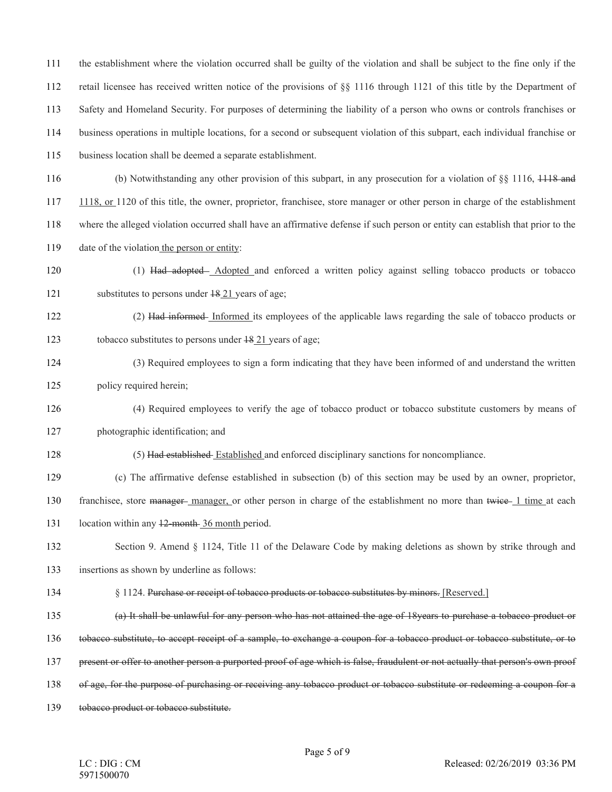the establishment where the violation occurred shall be guilty of the violation and shall be subject to the fine only if the retail licensee has received written notice of the provisions of §§ 1116 through 1121 of this title by the Department of Safety and Homeland Security. For purposes of determining the liability of a person who owns or controls franchises or business operations in multiple locations, for a second or subsequent violation of this subpart, each individual franchise or

business location shall be deemed a separate establishment.

116 (b) Notwithstanding any other provision of this subpart, in any prosecution for a violation of §§ 1116, 1118 and 1118, or 1120 of this title, the owner, proprietor, franchisee, store manager or other person in charge of the establishment where the alleged violation occurred shall have an affirmative defense if such person or entity can establish that prior to the date of the violation the person or entity:

- (1) Had adopted Adopted and enforced a written policy against selling tobacco products or tobacco substitutes to persons under 18 21 years of age;
- 122 (2) Had informed Informed its employees of the applicable laws regarding the sale of tobacco products or 123 tobacco substitutes to persons under  $\frac{1821}{21}$  years of age;
- (3) Required employees to sign a form indicating that they have been informed of and understand the written 125 policy required herein;
- (4) Required employees to verify the age of tobacco product or tobacco substitute customers by means of
- photographic identification; and
- (5) Had established Established and enforced disciplinary sanctions for noncompliance.
- (c) The affirmative defense established in subsection (b) of this section may be used by an owner, proprietor,

130 franchisee, store manager-manager, or other person in charge of the establishment no more than twice-1 time at each

- 131 location within any 12-month 36 month period.
- Section 9. Amend § 1124, Title 11 of the Delaware Code by making deletions as shown by strike through and insertions as shown by underline as follows:
- 134 § 1124. Purchase or receipt of tobacco products or tobacco substitutes by minors. [Reserved.]
- (a) It shall be unlawful for any person who has not attained the age of 18years to purchase a tobacco product or
- tobacco substitute, to accept receipt of a sample, to exchange a coupon for a tobacco product or tobacco substitute, or to
- present or offer to another person a purported proof of age which is false, fraudulent or not actually that person's own proof
- 138 of age, for the purpose of purchasing or receiving any tobacco product or tobacco substitute or redeeming a coupon for a
- tobacco product or tobacco substitute.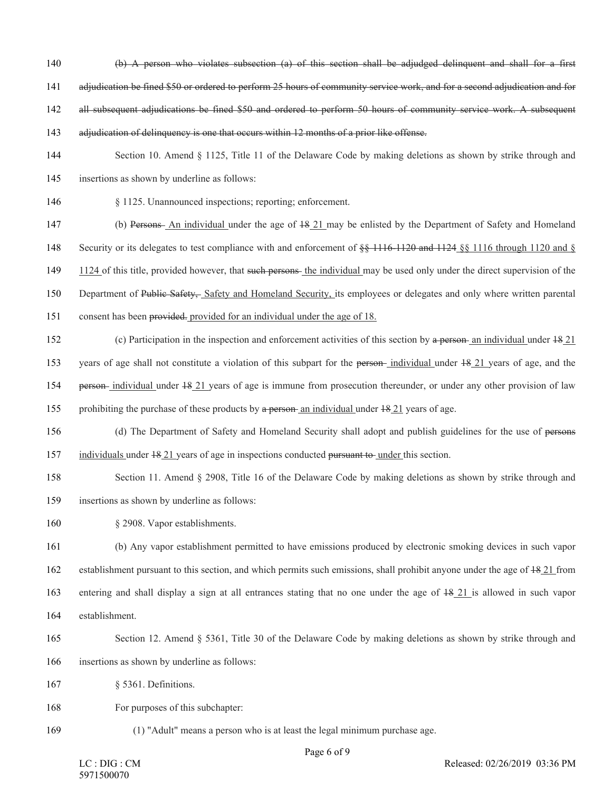- (b) A person who violates subsection (a) of this section shall be adjudged delinquent and shall for a first
- adjudication be fined \$50 or ordered to perform 25 hours of community service work, and for a second adjudication and for
- 142 all subsequent adjudications be fined \$50 and ordered to perform 50 hours of community service work. A subsequent
- 143 adjudication of delinquency is one that occurs within 12 months of a prior like offense.
- Section 10. Amend § 1125, Title 11 of the Delaware Code by making deletions as shown by strike through and insertions as shown by underline as follows:
- § 1125. Unannounced inspections; reporting; enforcement.
- (b) Persons An individual under the age of 18 21 may be enlisted by the Department of Safety and Homeland 148 Security or its delegates to test compliance with and enforcement of  $\frac{120 \text{ rad}}{116}$  and 1124  $\frac{120 \text{ rad}}{116}$  through 1120 and § 149 1124 of this title, provided however, that such persons- the individual may be used only under the direct supervision of the 150 Department of Public Safety, Safety and Homeland Security, its employees or delegates and only where written parental
- consent has been provided. provided for an individual under the age of 18.
- 152 (c) Participation in the inspection and enforcement activities of this section by a person an individual under  $18\ 21$ 153 years of age shall not constitute a violation of this subpart for the person-individual under  $18/21$  years of age, and the person individual under 18 21 years of age is immune from prosecution thereunder, or under any other provision of law 155 prohibiting the purchase of these products by a person an individual under  $\frac{18}{21}$  years of age.
- 156 (d) The Department of Safety and Homeland Security shall adopt and publish guidelines for the use of persons individuals under 18 21 years of age in inspections conducted pursuant to under this section.
- Section 11. Amend § 2908, Title 16 of the Delaware Code by making deletions as shown by strike through and insertions as shown by underline as follows:
- 
- § 2908. Vapor establishments.
- (b) Any vapor establishment permitted to have emissions produced by electronic smoking devices in such vapor establishment pursuant to this section, and which permits such emissions, shall prohibit anyone under the age of 18 21 from entering and shall display a sign at all entrances stating that no one under the age of 18 21 is allowed in such vapor establishment.
- Section 12. Amend § 5361, Title 30 of the Delaware Code by making deletions as shown by strike through and
- insertions as shown by underline as follows:
- § 5361. Definitions.
- For purposes of this subchapter:
- 

(1) "Adult" means a person who is at least the legal minimum purchase age.

Page 6 of 9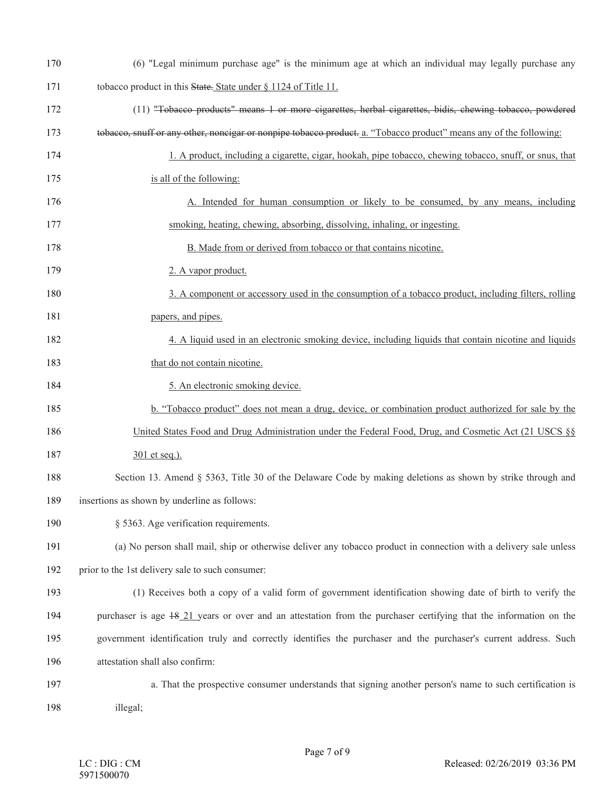| 170 | (6) "Legal minimum purchase age" is the minimum age at which an individual may legally purchase any                |
|-----|--------------------------------------------------------------------------------------------------------------------|
| 171 | tobacco product in this State. State under § 1124 of Title 11.                                                     |
| 172 | (11) "Tobacco products" means 1 or more cigarettes, herbal cigarettes, bidis, chewing tobacco, powdered            |
| 173 | tobacco, snuff or any other, noneigar or nonpipe tobacco product. a. "Tobacco product" means any of the following: |
| 174 | 1. A product, including a cigarette, cigar, hookah, pipe tobacco, chewing tobacco, snuff, or snus, that            |
| 175 | is all of the following:                                                                                           |
| 176 | A. Intended for human consumption or likely to be consumed, by any means, including                                |
| 177 | smoking, heating, chewing, absorbing, dissolving, inhaling, or ingesting.                                          |
| 178 | B. Made from or derived from tobacco or that contains nicotine.                                                    |
| 179 | 2. A vapor product.                                                                                                |
| 180 | 3. A component or accessory used in the consumption of a tobacco product, including filters, rolling               |
| 181 | papers, and pipes.                                                                                                 |
| 182 | 4. A liquid used in an electronic smoking device, including liquids that contain nicotine and liquids              |
| 183 | that do not contain nicotine.                                                                                      |
| 184 | 5. An electronic smoking device.                                                                                   |
| 185 | b. "Tobacco product" does not mean a drug, device, or combination product authorized for sale by the               |
| 186 | United States Food and Drug Administration under the Federal Food, Drug, and Cosmetic Act (21 USCS §§              |
| 187 | 301 et seq.).                                                                                                      |
| 188 | Section 13. Amend § 5363, Title 30 of the Delaware Code by making deletions as shown by strike through and         |
| 189 | insertions as shown by underline as follows:                                                                       |
| 190 | § 5363. Age verification requirements.                                                                             |
| 191 | (a) No person shall mail, ship or otherwise deliver any tobacco product in connection with a delivery sale unless  |
| 192 | prior to the 1st delivery sale to such consumer:                                                                   |
| 193 | (1) Receives both a copy of a valid form of government identification showing date of birth to verify the          |
| 194 | purchaser is age 48.21 years or over and an attestation from the purchaser certifying that the information on the  |
| 195 | government identification truly and correctly identifies the purchaser and the purchaser's current address. Such   |
| 196 | attestation shall also confirm:                                                                                    |
| 197 | a. That the prospective consumer understands that signing another person's name to such certification is           |
| 198 | illegal;                                                                                                           |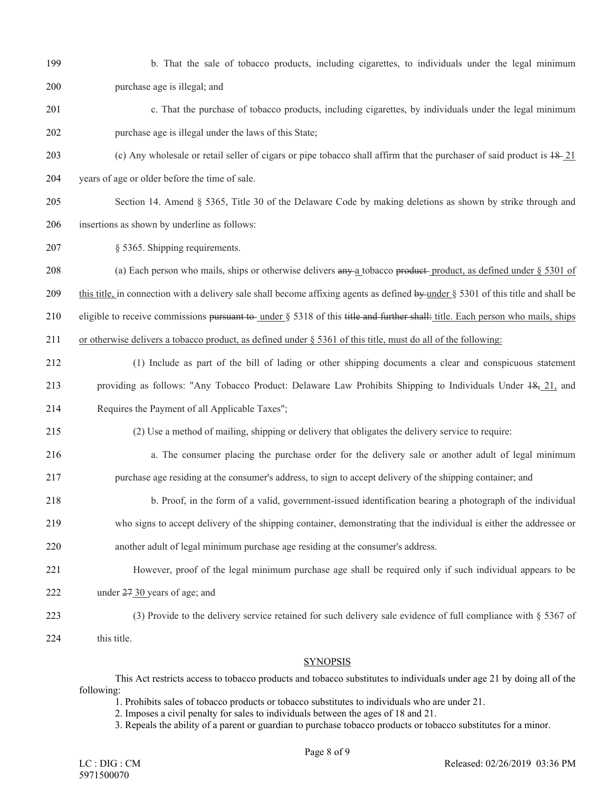- 
- 199 b. That the sale of tobacco products, including cigarettes, to individuals under the legal minimum 200 purchase age is illegal; and
- 201 c. That the purchase of tobacco products, including cigarettes, by individuals under the legal minimum 202 purchase age is illegal under the laws of this State;
- 203 (c) Any wholesale or retail seller of cigars or pipe tobacco shall affirm that the purchaser of said product is  $18-21$ 204 years of age or older before the time of sale.
- 205 Section 14. Amend § 5365, Title 30 of the Delaware Code by making deletions as shown by strike through and 206 insertions as shown by underline as follows:
- 207 § 5365. Shipping requirements.
- 208 (a) Each person who mails, ships or otherwise delivers any a tobacco product-product, as defined under § 5301 of
- 209 this title, in connection with a delivery sale shall become affixing agents as defined by under  $\S$  5301 of this title and shall be
- 210 eligible to receive commissions pursuant to under  $\S$  5318 of this title and further shall: title. Each person who mails, ships
- 211 or otherwise delivers a tobacco product, as defined under § 5361 of this title, must do all of the following:
- 212 (1) Include as part of the bill of lading or other shipping documents a clear and conspicuous statement 213 providing as follows: "Any Tobacco Product: Delaware Law Prohibits Shipping to Individuals Under 18, 21, and 214 Requires the Payment of all Applicable Taxes";
- 215 (2) Use a method of mailing, shipping or delivery that obligates the delivery service to require:
- 216 a. The consumer placing the purchase order for the delivery sale or another adult of legal minimum 217 purchase age residing at the consumer's address, to sign to accept delivery of the shipping container; and
- 218 b. Proof, in the form of a valid, government-issued identification bearing a photograph of the individual
- 
- 219 who signs to accept delivery of the shipping container, demonstrating that the individual is either the addressee or
- 220 another adult of legal minimum purchase age residing at the consumer's address.
- 221 However, proof of the legal minimum purchase age shall be required only if such individual appears to be
- 222 under 27 30 years of age; and
- 223 (3) Provide to the delivery service retained for such delivery sale evidence of full compliance with § 5367 of
- 224 this title.

## SYNOPSIS

This Act restricts access to tobacco products and tobacco substitutes to individuals under age 21 by doing all of the following:

1. Prohibits sales of tobacco products or tobacco substitutes to individuals who are under 21.

- 2. Imposes a civil penalty for sales to individuals between the ages of 18 and 21.
- 3. Repeals the ability of a parent or guardian to purchase tobacco products or tobacco substitutes for a minor.